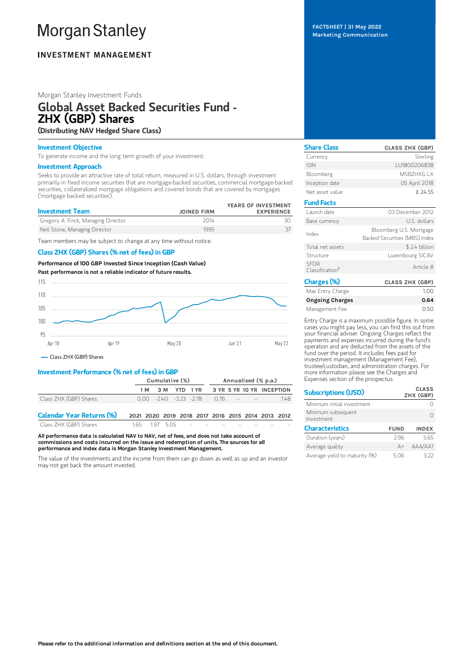# **Morgan Stanley**

# **INVESTMENT MANAGEMENT**

# Morgan Stanley Investment Funds

# Global Asset Backed Securities Fund - ZHX (GBP) Shares (Distributing NAV Hedged Share Class)

# Investment Objective

To generate income and the long term growth of your investment.

#### Investment Approach

Seeks to provide an attractive rate of total return, measured in U.S. dollars, through investment primarily in fixed income securities that are mortgage-backed securities, commercial mortgage-backed securities, collateralized mortgage obligations and covered bonds that are covered by mortgages ('mortgage backed securities').

| <b>Investment Team</b>              | <b>JOINED FIRM</b> | YEARS OF INVESTMENT<br><b>EXPERIENCE</b> |
|-------------------------------------|--------------------|------------------------------------------|
| Gregory A. Finck, Managing Director | 2014               |                                          |
| Neil Stone, Managing Director       | 1995               |                                          |

Team members may be subject to change at any time without notice.

# Class ZHX (GBP) Shares (% net of fees) in GBP

Performance of 100 GBP Invested Since Inception (Cash Value) Past performance is not a reliable indicator of future results.



# Investment Performance (% net of fees) in GBP

|                                  | Cumulative (%)                                    |                                    | Annualised (% p.a.) |  |  |  |                           |     |
|----------------------------------|---------------------------------------------------|------------------------------------|---------------------|--|--|--|---------------------------|-----|
|                                  |                                                   | 1 M 3 M YTD 1 YR                   |                     |  |  |  | 3 YR 5 YR 10 YR INCEPTION |     |
| Class ZHX (GBP) Shares           |                                                   | $0.00 -240 -3.23 -2.78$ $0.76 -12$ |                     |  |  |  |                           | 148 |
| <b>Calendar Year Returns (%)</b> | 2021 2020 2019 2018 2017 2016 2015 2014 2013 2012 |                                    |                     |  |  |  |                           |     |
| Class ZHX (GRP) Shares           |                                                   | 165 197 505 - - - -                |                     |  |  |  |                           |     |

All performance data is calculated NAV to NAV, net of fees, and does not take account of commissions and costs incurred on the issue and redemption of units. The sources for all performance and Index data is Morgan Stanley Investment Management.

The value of the investments and the income from them can go down as well as up and an investor may not get back the amount invested.

FACTSHEET | 31 May 2022 Marketing Communication

| <b>Share Class</b>                         | <b>CLASS ZHX (GBP)</b>                                   |
|--------------------------------------------|----------------------------------------------------------|
| Currency                                   | Sterling                                                 |
| <b>ISIN</b>                                | LU1800206838                                             |
| Bloomberg                                  | MSB7HXG I X                                              |
| Inception date                             | 05 April 2018                                            |
| Net asset value                            | £ 24.55                                                  |
| <b>Fund Facts</b>                          |                                                          |
| Launch date                                | 03 December 2012                                         |
| Base currency                              | U.S. dollars                                             |
| Index                                      | Bloomberg U.S. Mortgage<br>Backed Securities (MBS) Index |
| Total net assets                           | \$2.4 billion                                            |
| Structure                                  | Luxembourg SICAV                                         |
| <b>SEDR</b><br>Classification <sup>+</sup> | Article 8                                                |
| Charges (%)<br>May Entry Charge            | <b>CLASS ZHX (GBP)</b><br>$1 \cap \cap$                  |

| Max Entry Charge | 100  |
|------------------|------|
| Ongoing Charges  | 0.64 |
| Management Fee   | 0.50 |

Entry Charge is a maximum possible figure. In some cases you might pay less, you can find this out from your financial adviser. Ongoing Charges reflect the payments and expenses incurred during the fund's operation and are deducted from the assets of the fund over the period. It includes fees paid for investment management (Management Fee), trustee/custodian, and administration charges. For more information please see the Charges and Expenses section of the prospectus.

| <b>Subscriptions (USD)</b>       |             | <b>CLASS</b><br>ZHX (GBP) |
|----------------------------------|-------------|---------------------------|
| Minimum initial investment       |             |                           |
| Minimum subsequent<br>Investment |             |                           |
| <b>Characteristics</b>           | <b>FUND</b> | <b>INDEX</b>              |
| Duration (years)                 | 296         | 5.65                      |
| Average quality                  | $A +$       | AAA/AA1                   |
| Average yield to maturity (%)    | 5.06        | 372                       |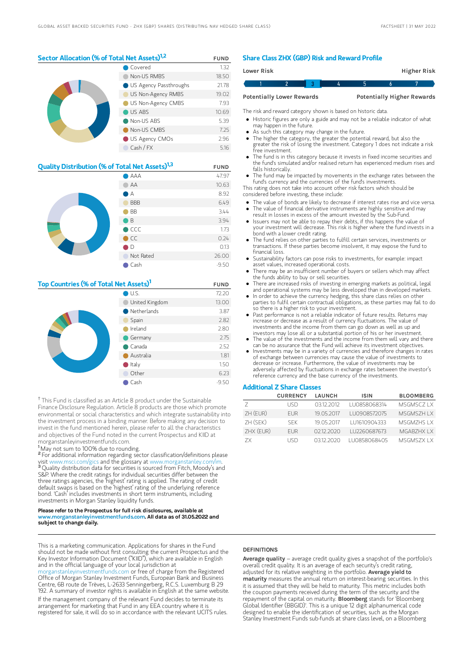# Sector Allocation (% of Total Net Assets)<sup>1,2</sup> FUND

|  | Covered                         | 1.32  |
|--|---------------------------------|-------|
|  | Non-US RMBS                     | 18.50 |
|  | <b>O</b> US Agency Passthroughs | 21.78 |
|  | US Non-Agency RMBS              | 19.02 |
|  | US Non-Agency CMBS              | 7.93  |
|  | US ABS                          | 10.69 |
|  | Non-US ABS                      | 5.39  |
|  | Non-US CMBS                     | 7.25  |
|  | US Agency CMOs                  | 2.96  |
|  | Cash / FX                       | 5.16  |

| <b>Quality Distribution (% of Total Net Assets)</b> <sup>1,3</sup> | <b>FUND</b>    |         |
|--------------------------------------------------------------------|----------------|---------|
|                                                                    | AAA            | 47.97   |
|                                                                    | AA             | 10.63   |
|                                                                    | А              | 8.92    |
|                                                                    | <b>BBB</b>     | 6.49    |
|                                                                    | <b>BB</b>      | 3.44    |
|                                                                    | ιB             | 3.94    |
|                                                                    | $\bigcirc$ CCC | 1.73    |
|                                                                    | $\bullet$ CC   | 0.24    |
|                                                                    | D              | 0.13    |
|                                                                    | Not Rated      | 26.00   |
|                                                                    | Cash           | $-9.50$ |

# Top Countries (% of Total Net Assets)<sup>1</sup> FUND

|  | U.S.                  | 72.20   |
|--|-----------------------|---------|
|  | United Kingdom        | 13.00   |
|  | $\bullet$ Netherlands | 3.87    |
|  | Spain                 | 2.82    |
|  | Ireland               | 2.80    |
|  | Germany               | 2.75    |
|  | $\bullet$ Canada      | 2.52    |
|  | Australia             | 1.81    |
|  | $\bullet$ Italy       | 1.50    |
|  | Other                 | 6.23    |
|  | Cash                  | $-9.50$ |

<sup>†</sup> This Fund is classified as an Article 8 product under the Sustainable Finance Disclosure Regulation. Article 8 products are those which promote environmental or social characteristics and which integrate sustainability into the investment process in a binding manner. Before making any decision to invest in the fund mentioned herein, please refer to all the characteristics and objectives of the Fund noted in the current Prospectus and KIID at morganstanleyinvestmentfunds.com.

<sup>1</sup>May not sum to 100% due to rounding.

<sup>2</sup> For additional information regarding sector classification/definitions please visit www.msci.com/gics and the glossary at www.morganstanley.com/im. <sup>3</sup> Quality distribution data for securities is sourced from Fitch, Moody's and S&P. Where the credit ratings for individual securities differ between the three ratings agencies, the 'highest' rating is applied. The rating of credit default swaps is based on the 'highest' rating of the underlying reference bond. 'Cash' includes investments in short term instruments, including investments in Morgan Stanley liquidity funds.

#### Please refer to the Prospectus for full risk disclosures, available at www.morganstanleyinvestmentfunds.com. All data as of 31.05.2022 and subject to change daily.

This is a marketing communication. Applications for shares in the Fund should not be made without first consulting the current Prospectus and the Key Investor Information Document ("KIID"), which are available in English and in the official language of your local jurisdiction at

leyinvestmentfunds.com or free of charge from the Registered Office of Morgan Stanley Investment Funds, European Bank and Business Centre, 6B route de Trèves, L-2633 Senningerberg, R.C.S. Luxemburg B 29 192. A summary of investor rights is available in English at the same website. If the management company of the relevant Fund decides to terminate its arrangement for marketing that Fund in any EEA country where it is registered for sale, it will do so in accordance with the relevant UCITS rules.

### Share Class ZHX (GBP) Risk and Reward Profile

| Lower Risk |                                  |  |  | <b>Higher Risk</b>                |  |
|------------|----------------------------------|--|--|-----------------------------------|--|
|            |                                  |  |  |                                   |  |
|            | <b>Potentially Lower Rewards</b> |  |  | <b>Potentially Higher Rewards</b> |  |

The risk and reward category shown is based on historic data.

- Historic figures are only a guide and may not be a reliable indicator of what may happen in the future.
- As such this category may change in the future.
- The higher the category, the greater the potential reward, but also the greater the risk of losing the investment. Category 1 does not indicate a risk free investment.
- The fund is in this category because it invests in fixed income securities and the fund's simulated and/or realised return has experienced medium rises and falls historically.
- The fund may be impacted by movements in the exchange rates between the fund's currency and the currencies of the fund's investments.

This rating does not take into account other risk factors which should be considered before investing, these include:

- The value of bonds are likely to decrease if interest rates rise and vice versa. The value of financial derivative instruments are highly sensitive and may
- result in losses in excess of the amount invested by the Sub-Fund. Issuers may not be able to repay their debts, if this happens the value of
- your investment will decrease. This risk is higher where the fund invests in a bond with a lower credit rating.
- The fund relies on other parties to fulfill certain services, investments or transactions. If these parties become insolvent, it may expose the fund to financial loss.
- Sustainability factors can pose risks to investments, for example: impact asset values, increased operational costs.
- There may be an insufficient number of buyers or sellers which may affect the funds ability to buy or sell securities.
- There are increased risks of investing in emerging markets as political, legal and operational systems may be less developed than in developed markets.
- In order to achieve the currency hedging, this share class relies on other parties to fulfil certain contractual obligations, as these parties may fail to do so there is a higher risk to your investment.
- Past performance is not a reliable indicator of future results. Returns may increase or decrease as a result of currency fluctuations. The value of investments and the income from them can go down as well as up and investors may lose all or a substantial portion of his or her investment.
- The value of the investments and the income from them will vary and there
- can be no assurance that the Fund will achieve its investment objectives. Investments may be in a variety of currencies and therefore changes in rates of exchange between currencies may cause the value of investments to decrease or increase. Furthermore, the value of investments may be adversely affected by fluctuations in exchange rates between the investor's reference currency and the base currency of the investments.

#### Additional Z Share Classes

|            | <b>CURRENCY</b> | LAUNCH     | <b>ISIN</b>  | <b>BLOOMBERG</b> |
|------------|-----------------|------------|--------------|------------------|
|            | LISD.           | 03122012   | LU0858068314 | MSGMSCZ I X      |
| $ZH$ (EUR) | <b>FUR</b>      | 19.05.2017 | LU0908572075 | MSGMS7H I X      |
| ZH (SEK)   | SFK.            | 19 05 2017 | LU1610904333 | MSGM7HS I X      |
| ZHX (EUR)  | <b>FUR</b>      | 02122020   | LU2260687673 | MGAB7HX IX       |
| 7X         | LISD            | 0312 2020  | LU0858068405 | MSGMSZX I X      |

#### **DEFINITIONS**

Average quality – average credit quality gives a snapshot of the portfolio's overall credit quality. It is an average of each security's credit rating, adjusted for its relative weighting in the portfolio. Average vield to maturity measures the annual return on interest-bearing securities. In this it is assumed that they will be held to maturity. This metric includes both the coupon payments received during the term of the security and the<br>repayment of the capital on maturity. **BIoomberg** stands for 'Bloomberg Global Identifier (BBGID)'. This is a unique 12 digit alphanumerical code designed to enable the identification of securities, such as the Morgan Stanley Investment Funds sub-funds at share class level, on a Bloomberg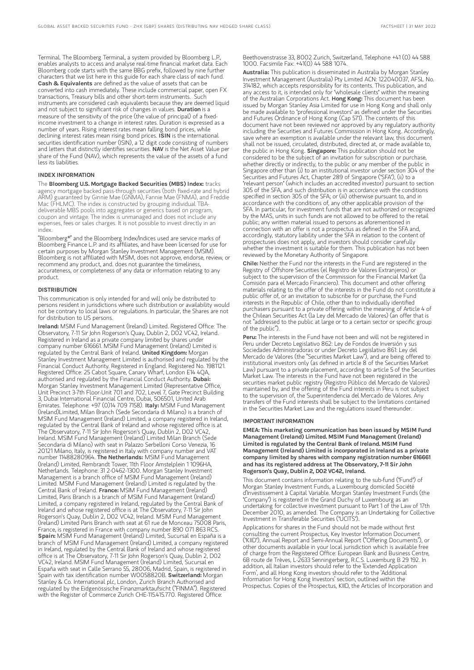Terminal. The Bloomberg Terminal, a system provided by Bloomberg L.P., enables analysts to access and analyse real-time financial market data. Each Bloomberg code starts with the same BBG prefix, followed by nine further characters that we list here in this guide for each share class of each fund. Cash & Equivalents are defined as the value of assets that can be converted into cash immediately. These include commercial paper, open FX transactions, Treasury bills and other short-term instruments. Such instruments are considered cash equivalents because they are deemed liquid and not subject to significant risk of changes in values. Duration is a measure of the sensitivity of the price (the value of principal) of a fixedincome investment to a change in interest rates. Duration is expressed as a number of years. Rising interest rates mean falling bond prices, while declining interest rates mean rising bond prices. ISIN is the international securities identification number (ISIN), a 12 digit code consisting of numbers and letters that distinctly identifies securities. NAV is the Net Asset Value per share of the Fund (NAV), which represents the value of the assets of a fund less its liabilities.

#### INDEX INFORMATION

The Bloomberg U.S. Mortgage Backed Securities (MBS) Index: tracks agency mortgage backed pass-through securities (both fixed-rate and hybrid ARM) guaranteed by Ginnie Mae (GNMA), Fannie Mae (FNMA), and Freddie Mac (FHLMC). The index is constructed by grouping individual TBAdeliverable MBS pools into aggregates or generics based on program, coupon and vintage. The index is unmanaged and does not include any expenses, fees or sales charges. It is not possible to invest directly in an index.

"Bloomberg®" and the Bloomberg Index/Indices used are service marks of Bloomberg Finance L.P. and its affiliates, and have been licensed for use for certain purposes by Morgan Stanley Investment Management (MSIM). Bloomberg is not affiliated with MSIM, does not approve, endorse, review, or recommend any product, and. does not guarantee the timeliness, accurateness, or completeness of any data or information relating to any product.

#### **DISTRIBUTION**

This communication is only intended for and will only be distributed to persons resident in jurisdictions where such distribution or availability would not be contrary to local laws or regulations. In particular, the Shares are not for distribution to US persons.

Ireland: MSIM Fund Management (Ireland) Limited. Registered Office: The Observatory, 7-11 Sir John Rogerson's Quay, Dublin 2, D02 VC42, Ireland. Registered in Ireland as a private company limited by shares under company number 616661. MSIM Fund Management (Ireland) Limited is regulated by the Central Bank of Ireland. United Kingdom: Morgan Stanley Investment Management Limited is authorised and regulated by the Financial Conduct Authority. Registered in England. Registered No. 1981121. Registered Office: 25 Cabot Square, Canary Wharf, London E14 4QA, authorised and regulated by the Financial Conduct Authority. Dubai: Morgan Stanley Investment Management Limited (Representative Office, Unit Precinct 3-7th Floor-Unit 701 and 702, Level 7, Gate Precinct Building 3, Dubai International Financial Centre, Dubai, 506501, United Arab Emirates. Telephone: +97 (0)14 709 7158). Italy: MSIM Fund Management (Ireland)Limited, Milan Branch (Sede Secondaria di Milano) is a branch of MSIM Fund Management (Ireland) Limited, a company registered in Ireland, regulated by the Central Bank of Ireland and whose registered office is at The Observatory, 7-11 Sir John Rogerson's Quay, Dublin 2, D02 VC42, Ireland. MSIM Fund Management (Ireland) Limited Milan Branch (Sede Secondaria di Milano) with seat in Palazzo Serbelloni Corso Venezia, 16 20121 Milano, Italy, is registered in Italy with company number and VAT<br>number 11488280964. **The Netherlands:** MSIM Fund Management (Ireland) Limited, Rembrandt Tower, 11th Floor Amstelplein 1 1096HA, Netherlands. Telephone: 31 2-0462-1300. Morgan Stanley Investment Management is a branch office of MSIM Fund Management (Ireland) Limited. MSIM Fund Management (Ireland) Limited is regulated by the<br>Central Bank of Ireland. **France:** MSIM Fund Management (Ireland) Limited, Paris Branch is a branch of MSIM Fund Management (Ireland) Limited, a company registered in Ireland, regulated by the Central Bank of Ireland and whose registered office is at The Observatory, 7-11 Sir John Rogerson's Quay, Dublin 2, D02 VC42, Ireland. MSIM Fund Management (Ireland) Limited Paris Branch with seat at 61 rue de Monceau 75008 Paris, France, is registered in France with company number 890 071 863 RCS. Spain: MSIM Fund Management (Ireland) Limited, Sucursal en España is a branch of MSIM Fund Management (Ireland) Limited, a company registered in Ireland, regulated by the Central Bank of Ireland and whose registered office is at The Observatory, 7-11 Sir John Rogerson's Quay, Dublin 2, D02 VC42, Ireland. MSIM Fund Management (Ireland) Limited, Sucursal en España with seat in Calle Serrano 55, 28006, Madrid, Spain, is registered in Spain with tax identification number W0058820B. Switzerland: Morgan Stanley & Co. International plc, London, Zurich Branch Authorised and regulated by the Eidgenössische Finanzmarktaufsicht ("FINMA"). Registered with the Register of Commerce Zurich CHE-115.415.770. Registered Office:

Beethovenstrasse 33, 8002 Zurich, Switzerland, Telephone +41 (0) 44 588 1000. Facsimile Fax: +41(0) 44 588 1074.

Australia: This publication is disseminated in Australia by Morgan Stanley Investment Management (Australia) Pty Limited ACN: 122040037, AFSL No. 314182, which accepts responsibility for its contents. This publication, and any access to it, is intended only for "wholesale clients" within the meaning of the Australian Corporations Act. Hong Kong: This document has been issued by Morgan Stanley Asia Limited for use in Hong Kong and shall only be made available to "professional investors" as defined under the Securities and Futures Ordinance of Hong Kong (Cap 571). The contents of this document have not been reviewed nor approved by any regulatory authority including the Securities and Futures Commission in Hong Kong. Accordingly, save where an exemption is available under the relevant law, this document shall not be issued, circulated, distributed, directed at, or made available to, the public in Hong Kong. Singapore: This publication should not be considered to be the subject of an invitation for subscription or purchase, whether directly or indirectly, to the public or any member of the public in Singapore other than (i) to an institutional investor under section 304 of the Securities and Futures Act, Chapter 289 of Singapore ("SFA"), (ii) to a "relevant person" (which includes an accredited investor) pursuant to section 305 of the SFA, and such distribution is in accordance with the conditions specified in section 305 of the SFA; or (iii) otherwise pursuant to, and in accordance with the conditions of, any other applicable provision of the SFA. In particular, for investment funds that are not authorized or recognized by the MAS, units in such funds are not allowed to be offered to the retail public; any written material issued to persons as aforementioned in connection with an offer is not a prospectus as defined in the SFA and, accordingly, statutory liability under the SFA in relation to the content of prospectuses does not apply, and investors should consider carefully whether the investment is suitable for them. This publication has not been reviewed by the Monetary Authority of Singapore.

Chile: Neither the Fund nor the interests in the Fund are registered in the Registry of Offshore Securities (el Registro de Valores Extranjeros) or subject to the supervision of the Commission for the Financial Market (la Comisión para el Mercado Financiero). This document and other offering materials relating to the offer of the interests in the Fund do not constitute a public offer of, or an invitation to subscribe for or purchase, the Fund interests in the Republic of Chile, other than to individually identified purchasers pursuant to a private offering within the meaning of Article 4 of the Chilean Securities Act (la Ley del Mercado de Valores) (an offer that is not "addressed to the public at large or to a certain sector or specific group of the public").

Peru: The interests in the Fund have not been and will not be registered in Peru under Decreto Legislativo 862: Ley de Fondos de Inversión y sus Sociedades Administradoras or under Decreto Legislativo 861: Ley del Mercado de Valores (the "Securities Market Law"), and are being offered to institutional investors only (as defined in article 8 of the Securities Market Law) pursuant to a private placement, according to article 5 of the Securities Market Law. The interests in the Fund have not been registered in the securities market public registry (Registro Público del Mercado de Valores) maintained by, and the offering of the Fund interests in Peru is not subject to the supervision of, the Superintendencia del Mercado de Valores. Any transfers of the Fund interests shall be subject to the limitations contained in the Securities Market Law and the regulations issued thereunder.

#### IMPORTANT INFORMATION

EMEA: This marketing communication has been issued by MSIM Fund Management (Ireland) Limited. MSIM Fund Management (Ireland) Limited is regulated by the Central Bank of Ireland. MSIM Fund Management (Ireland) Limited is incorporated in Ireland as a private company limited by shares with company registration number 616661 and has its registered address at The Observatory, 7-11 Sir John Rogerson's Quay, Dublin 2, D02 VC42, Ireland.

This document contains information relating to the sub-fund ("Fund") of Morgan Stanley Investment Funds, a Luxembourg domiciled Société d'Investissement à Capital Variable. Morgan Stanley Investment Funds (the "Company") is registered in the Grand Duchy of Luxembourg as an undertaking for collective investment pursuant to Part 1 of the Law of 17th December 2010, as amended. The Company is an Undertaking for Collective Investment in Transferable Securities ("UCITS").

Applications for shares in the Fund should not be made without first consulting the current Prospectus, Key Investor Information Document ("KIID"), Annual Report and Semi-Annual Report ("Offering Documents"), or other documents available in your local jurisdiction which is available free of charge from the Registered Office: European Bank and Business Centre, 6B route de Trèves, L-2633 Senningerberg, R.C.S. Luxemburg B 29 192. In addition, all Italian investors should refer to the 'Extended Application Form', and all Hong Kong investors should refer to the 'Additional Information for Hong Kong Investors' section, outlined within the Prospectus. Copies of the Prospectus, KIID, the Articles of Incorporation and